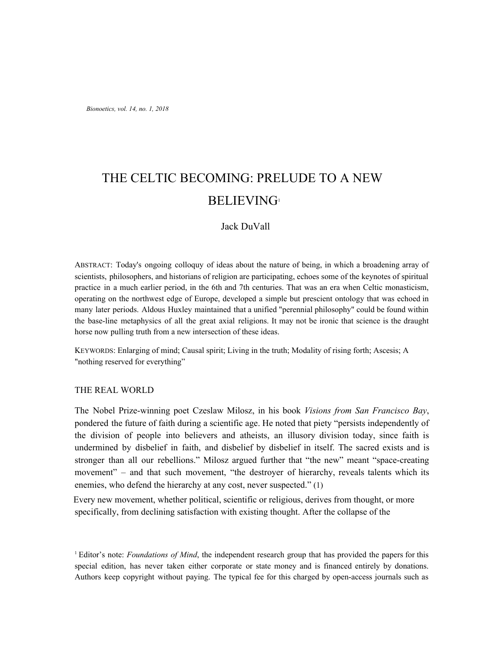# THE CELTIC BECOMING: PRELUDE TO A NEW BELIEVING<sup>1</sup>

# Jack DuVall

ABSTRACT: Today's ongoing colloquy of ideas about the nature of being, in which a broadening array of scientists, philosophers, and historians of religion are participating, echoes some of the keynotes of spiritual practice in a much earlier period, in the 6th and 7th centuries. That was an era when Celtic monasticism, operating on the northwest edge of Europe, developed a simple but prescient ontology that was echoed in many later periods. Aldous Huxley maintained that a unified "perennial philosophy" could be found within the base-line metaphysics of all the great axial religions. It may not be ironic that science is the draught horse now pulling truth from a new intersection of these ideas.

KEYWORDS: Enlarging of mind; Causal spirit; Living in the truth; Modality of rising forth; Ascesis; A "nothing reserved for everything"

#### THE REAL WORLD

The Nobel Prize-winning poet Czeslaw Milosz, in his book *Visions from San Francisco Bay*, pondered the future of faith during a scientific age. He noted that piety "persists independently of the division of people into believers and atheists, an illusory division today, since faith is undermined by disbelief in faith, and disbelief by disbelief in itself. The sacred exists and is stronger than all our rebellions." Milosz argued further that "the new" meant "space-creating movement" – and that such movement, "the destroyer of hierarchy, reveals talents which its enemies, who defend the hierarchy at any cost, never suspected." (1)

Every new movement, whether political, scientific or religious, derives from thought, or more specifically, from declining satisfaction with existing thought. After the collapse of the

<sup>1</sup> Editor's note: *Foundations of Mind*, the independent research group that has provided the papers for this special edition, has never taken either corporate or state money and is financed entirely by donations. Authors keep copyright without paying. The typical fee for this charged by open-access journals such as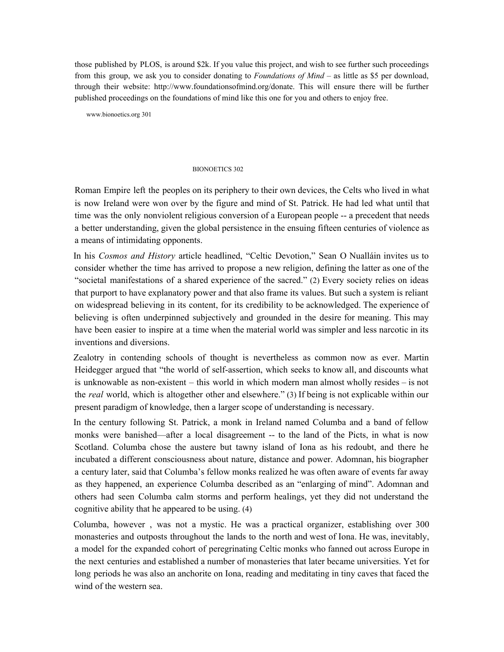those published by PLOS, is around \$2k. If you value this project, and wish to see further such proceedings from this group, we ask you to consider donating to *Foundations of Mind* – as little as \$5 per download, through their website: http://www.foundationsofmind.org/donate. This will ensure there will be further published proceedings on the foundations of mind like this one for you and others to enjoy free.

www.bionoetics.org 301

#### BIONOETICS 302

Roman Empire left the peoples on its periphery to their own devices, the Celts who lived in what is now Ireland were won over by the figure and mind of St. Patrick. He had led what until that time was the only nonviolent religious conversion of a European people -- a precedent that needs a better understanding, given the global persistence in the ensuing fifteen centuries of violence as a means of intimidating opponents.

In his *Cosmos and History* article headlined, "Celtic Devotion," Sean O Nualláin invites us to consider whether the time has arrived to propose a new religion, defining the latter as one of the "societal manifestations of a shared experience of the sacred." (2) Every society relies on ideas that purport to have explanatory power and that also frame its values. But such a system is reliant on widespread believing in its content, for its credibility to be acknowledged. The experience of believing is often underpinned subjectively and grounded in the desire for meaning. This may have been easier to inspire at a time when the material world was simpler and less narcotic in its inventions and diversions.

Zealotry in contending schools of thought is nevertheless as common now as ever. Martin Heidegger argued that "the world of self-assertion, which seeks to know all, and discounts what is unknowable as non-existent – this world in which modern man almost wholly resides – is not the *real* world, which is altogether other and elsewhere." (3) If being is not explicable within our present paradigm of knowledge, then a larger scope of understanding is necessary.

In the century following St. Patrick, a monk in Ireland named Columba and a band of fellow monks were banished—after a local disagreement -- to the land of the Picts, in what is now Scotland. Columba chose the austere but tawny island of Iona as his redoubt, and there he incubated a different consciousness about nature, distance and power. Adomnan, his biographer a century later, said that Columba's fellow monks realized he was often aware of events far away as they happened, an experience Columba described as an "enlarging of mind". Adomnan and others had seen Columba calm storms and perform healings, yet they did not understand the cognitive ability that he appeared to be using. (4)

Columba, however , was not a mystic. He was a practical organizer, establishing over 300 monasteries and outposts throughout the lands to the north and west of Iona. He was, inevitably, a model for the expanded cohort of peregrinating Celtic monks who fanned out across Europe in the next centuries and established a number of monasteries that later became universities. Yet for long periods he was also an anchorite on Iona, reading and meditating in tiny caves that faced the wind of the western sea.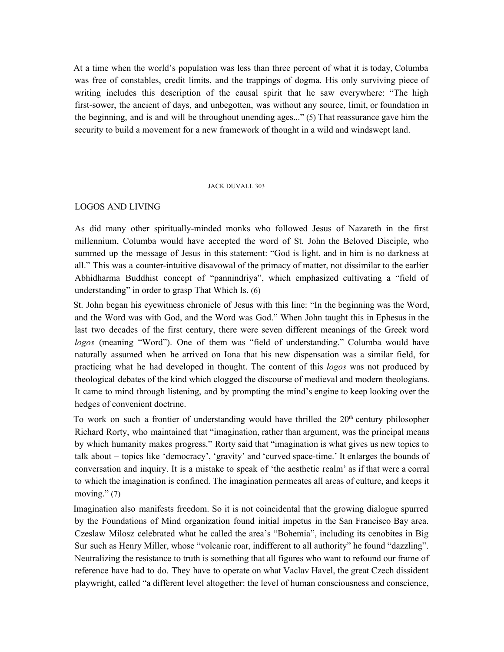At a time when the world's population was less than three percent of what it is today, Columba was free of constables, credit limits, and the trappings of dogma. His only surviving piece of writing includes this description of the causal spirit that he saw everywhere: "The high first-sower, the ancient of days, and unbegotten, was without any source, limit, or foundation in the beginning, and is and will be throughout unending ages..." (5) That reassurance gave him the security to build a movement for a new framework of thought in a wild and windswept land.

#### JACK DUVALL 303

## LOGOS AND LIVING

As did many other spiritually-minded monks who followed Jesus of Nazareth in the first millennium, Columba would have accepted the word of St. John the Beloved Disciple, who summed up the message of Jesus in this statement: "God is light, and in him is no darkness at all." This was a counter-intuitive disavowal of the primacy of matter, not dissimilar to the earlier Abhidharma Buddhist concept of "pannindriya", which emphasized cultivating a "field of understanding" in order to grasp That Which Is. (6)

St. John began his eyewitness chronicle of Jesus with this line: "In the beginning was the Word, and the Word was with God, and the Word was God." When John taught this in Ephesus in the last two decades of the first century, there were seven different meanings of the Greek word *logos* (meaning "Word"). One of them was "field of understanding." Columba would have naturally assumed when he arrived on Iona that his new dispensation was a similar field, for practicing what he had developed in thought. The content of this *logos* was not produced by theological debates of the kind which clogged the discourse of medieval and modern theologians. It came to mind through listening, and by prompting the mind's engine to keep looking over the hedges of convenient doctrine.

To work on such a frontier of understanding would have thrilled the 20<sup>th</sup> century philosopher Richard Rorty, who maintained that "imagination, rather than argument, was the principal means by which humanity makes progress." Rorty said that "imagination is what gives us new topics to talk about – topics like 'democracy', 'gravity' and 'curved space-time.' It enlarges the bounds of conversation and inquiry. It is a mistake to speak of 'the aesthetic realm' as if that were a corral to which the imagination is confined. The imagination permeates all areas of culture, and keeps it moving." (7)

Imagination also manifests freedom. So it is not coincidental that the growing dialogue spurred by the Foundations of Mind organization found initial impetus in the San Francisco Bay area. Czeslaw Milosz celebrated what he called the area's "Bohemia", including its cenobites in Big Sur such as Henry Miller, whose "volcanic roar, indifferent to all authority" he found "dazzling". Neutralizing the resistance to truth is something that all figures who want to refound our frame of reference have had to do. They have to operate on what Vaclav Havel, the great Czech dissident playwright, called "a different level altogether: the level of human consciousness and conscience,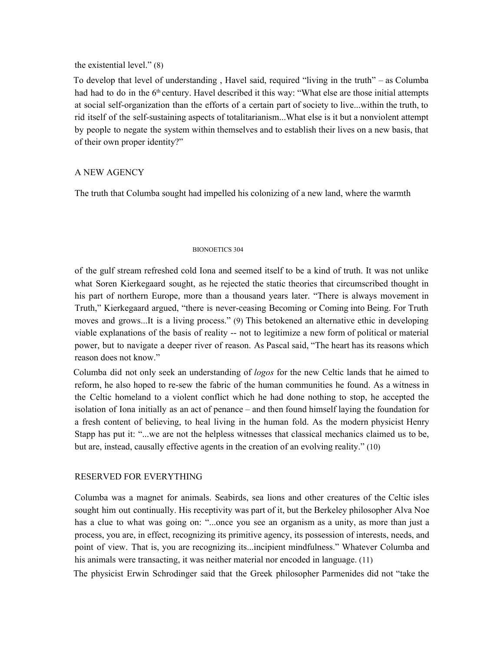## the existential level." (8)

To develop that level of understanding , Havel said, required "living in the truth" – as Columba had had to do in the 6<sup>th</sup> century. Havel described it this way: "What else are those initial attempts at social self-organization than the efforts of a certain part of society to live...within the truth, to rid itself of the self-sustaining aspects of totalitarianism...What else is it but a nonviolent attempt by people to negate the system within themselves and to establish their lives on a new basis, that of their own proper identity?"

# A NEW AGENCY

The truth that Columba sought had impelled his colonizing of a new land, where the warmth

## BIONOETICS 304

of the gulf stream refreshed cold Iona and seemed itself to be a kind of truth. It was not unlike what Soren Kierkegaard sought, as he rejected the static theories that circumscribed thought in his part of northern Europe, more than a thousand years later. "There is always movement in Truth," Kierkegaard argued, "there is never-ceasing Becoming or Coming into Being. For Truth moves and grows...It is a living process." (9) This betokened an alternative ethic in developing viable explanations of the basis of reality -- not to legitimize a new form of political or material power, but to navigate a deeper river of reason. As Pascal said, "The heart has its reasons which reason does not know."

Columba did not only seek an understanding of *logos* for the new Celtic lands that he aimed to reform, he also hoped to re-sew the fabric of the human communities he found. As a witness in the Celtic homeland to a violent conflict which he had done nothing to stop, he accepted the isolation of Iona initially as an act of penance – and then found himself laying the foundation for a fresh content of believing, to heal living in the human fold. As the modern physicist Henry Stapp has put it: "...we are not the helpless witnesses that classical mechanics claimed us to be, but are, instead, causally effective agents in the creation of an evolving reality." (10)

# RESERVED FOR EVERYTHING

Columba was a magnet for animals. Seabirds, sea lions and other creatures of the Celtic isles sought him out continually. His receptivity was part of it, but the Berkeley philosopher Alva Noe has a clue to what was going on: "...once you see an organism as a unity, as more than just a process, you are, in effect, recognizing its primitive agency, its possession of interests, needs, and point of view. That is, you are recognizing its...incipient mindfulness." Whatever Columba and his animals were transacting, it was neither material nor encoded in language. (11)

The physicist Erwin Schrodinger said that the Greek philosopher Parmenides did not "take the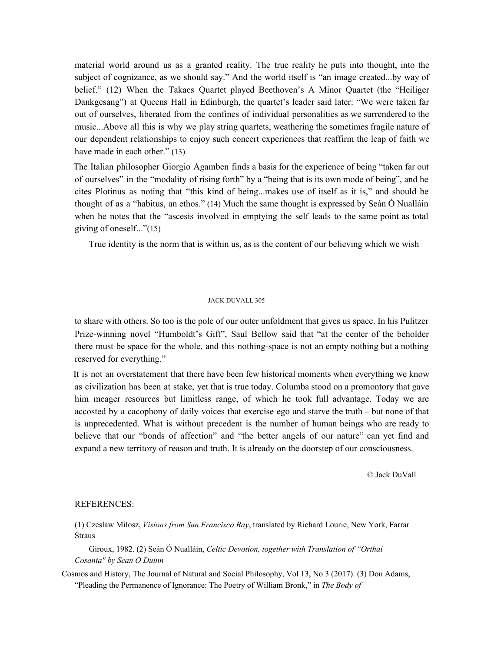material world around us as a granted reality. The true reality he puts into thought, into the subject of cognizance, as we should say." And the world itself is "an image created...by way of belief." (12) When the Takacs Quartet played Beethoven's A Minor Quartet (the "Heiliger Dankgesang") at Queens Hall in Edinburgh, the quartet's leader said later: "We were taken far out of ourselves, liberated from the confines of individual personalities as we surrendered to the music...Above all this is why we play string quartets, weathering the sometimes fragile nature of our dependent relationships to enjoy such concert experiences that reaffirm the leap of faith we have made in each other." (13)

The Italian philosopher Giorgio Agamben finds a basis for the experience of being "taken far out of ourselves" in the "modality of rising forth" by a "being that is its own mode of being", and he cites Plotinus as noting that "this kind of being...makes use of itself as it is," and should be thought of as a "habitus, an ethos." (14) Much the same thought is expressed by Seán Ó Nualláin when he notes that the "ascesis involved in emptying the self leads to the same point as total giving of oneself..."(15)

True identity is the norm that is within us, as is the content of our believing which we wish

#### JACK DUVALL 305

to share with others. So too is the pole of our outer unfoldment that gives us space. In his Pulitzer Prize-winning novel "Humboldt's Gift", Saul Bellow said that "at the center of the beholder there must be space for the whole, and this nothing-space is not an empty nothing but a nothing reserved for everything."

It is not an overstatement that there have been few historical moments when everything we know as civilization has been at stake, yet that is true today. Columba stood on a promontory that gave him meager resources but limitless range, of which he took full advantage. Today we are accosted by a cacophony of daily voices that exercise ego and starve the truth – but none of that is unprecedented. What is without precedent is the number of human beings who are ready to believe that our "bonds of affection" and "the better angels of our nature" can yet find and expand a new territory of reason and truth. It is already on the doorstep of our consciousness.

© Jack DuVall

#### REFERENCES:

(1) Czeslaw Milosz, *Visions from San Francisco Bay*, translated by Richard Lourie, New York, Farrar Straus

Giroux, 1982. (2) Seán Ó Nualláin, *Celtic Devotion, together with Translation of "Orthai Cosanta" by Sean O Duinn*

Cosmos and History, The Journal of Natural and Social Philosophy, Vol 13, No 3 (2017). (3) Don Adams, "Pleading the Permanence of Ignorance: The Poetry of William Bronk," in *The Body of*